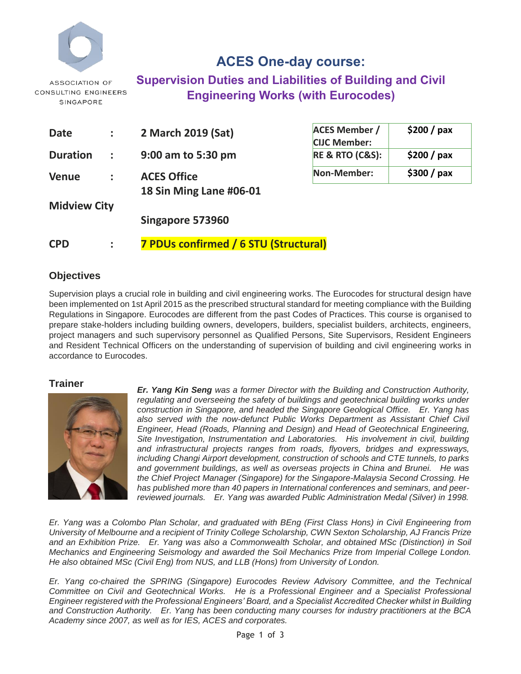

## **ACES One-day course: Supervision Duties and Liabilities of Building and Civil Engineering Works (with Eurocodes)**

| <b>Date</b>         |                 | 2 March 2019 (Sat)                            | <b>ACE</b>               |  |
|---------------------|-----------------|-----------------------------------------------|--------------------------|--|
| <b>Duration</b>     | $\sim 10^{-11}$ | 9:00 am to 5:30 pm                            | <b>CIJO</b><br><b>RE</b> |  |
| <b>Venue</b>        |                 | <b>ACES Office</b><br>18 Sin Ming Lane #06-01 | Nor                      |  |
| <b>Midview City</b> |                 |                                               |                          |  |
|                     |                 | Singapore 573960                              |                          |  |
| <b>CPD</b>          |                 | 7 PDUs confirmed / 6 STU (Structural)         |                          |  |

| <b>ACES Member /</b>                                  | $$200 /$ pax |  |  |
|-------------------------------------------------------|--------------|--|--|
| <b>CIJC Member:</b><br><b>RE &amp; RTO (C&amp;S):</b> | \$200 / pax  |  |  |
| Non-Member:                                           | \$300 / pax  |  |  |

#### **Objectives**

Supervision plays a crucial role in building and civil engineering works. The Eurocodes for structural design have been implemented on 1st April 2015 as the prescribed structural standard for meeting compliance with the Building Regulations in Singapore. Eurocodes are different from the past Codes of Practices. This course is organised to prepare stake-holders including building owners, developers, builders, specialist builders, architects, engineers, project managers and such supervisory personnel as Qualified Persons, Site Supervisors, Resident Engineers and Resident Technical Officers on the understanding of supervision of building and civil engineering works in accordance to Eurocodes.

#### **Trainer**



*Er. Yang Kin Seng was a former Director with the Building and Construction Authority, regulating and overseeing the safety of buildings and geotechnical building works under construction in Singapore, and headed the Singapore Geological Office. Er. Yang has*  also served with the now-defunct Public Works Department as Assistant Chief Civil *Engineer, Head (Roads, Planning and Design) and Head of Geotechnical Engineering, Site Investigation, Instrumentation and Laboratories. His involvement in civil, building and infrastructural projects ranges from roads, flyovers, bridges and expressways, including Changi Airport development, construction of schools and CTE tunnels, to parks and government buildings, as well as overseas projects in China and Brunei. He was the Chief Project Manager (Singapore) for the Singapore-Malaysia Second Crossing. He has published more than 40 papers in International conferences and seminars, and peer*reviewed journals. Er. Yang was awarded Public Administration Medal (Silver) in 1998.

*Er. Yang was a Colombo Plan Scholar, and graduated with BEng (First Class Hons) in Civil Engineering from University of Melbourne and a recipient of Trinity College Scholarship, CWN Sexton Scholarship, AJ Francis Prize and an Exhibition Prize. Er. Yang was also a Commonwealth Scholar, and obtained MSc (Distinction) in Soil Mechanics and Engineering Seismology and awarded the Soil Mechanics Prize from Imperial College London. He also obtained MSc (Civil Eng) from NUS, and LLB (Hons) from University of London.* 

*Er. Yang co-chaired the SPRING (Singapore) Eurocodes Review Advisory Committee, and the Technical Committee on Civil and Geotechnical Works. He is a Professional Engineer and a Specialist Professional Engineer registered with the Professional Engineers' Board, and a Specialist Accredited Checker whilst in Building and Construction Authority. Er. Yang has been conducting many courses for industry practitioners at the BCA Academy since 2007, as well as for IES, ACES and corporates.*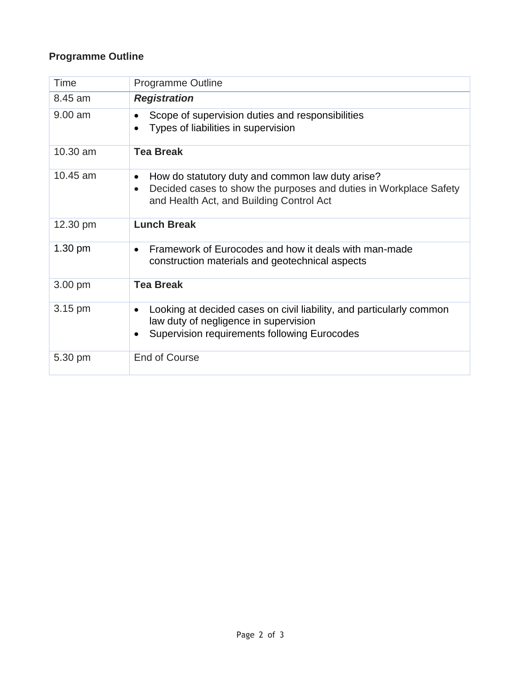### **Programme Outline**

| Time              | <b>Programme Outline</b>                                                                                                                                                                    |  |  |  |  |
|-------------------|---------------------------------------------------------------------------------------------------------------------------------------------------------------------------------------------|--|--|--|--|
| 8.45 am           | <b>Registration</b>                                                                                                                                                                         |  |  |  |  |
| $9.00$ am         | Scope of supervision duties and responsibilities<br>Types of liabilities in supervision                                                                                                     |  |  |  |  |
| 10.30 am          | <b>Tea Break</b>                                                                                                                                                                            |  |  |  |  |
| 10.45 am          | How do statutory duty and common law duty arise?<br>$\bullet$<br>Decided cases to show the purposes and duties in Workplace Safety<br>$\bullet$<br>and Health Act, and Building Control Act |  |  |  |  |
| 12.30 pm          | <b>Lunch Break</b>                                                                                                                                                                          |  |  |  |  |
| $1.30 \text{ pm}$ | Framework of Eurocodes and how it deals with man-made<br>$\bullet$<br>construction materials and geotechnical aspects                                                                       |  |  |  |  |
| 3.00 pm           | <b>Tea Break</b>                                                                                                                                                                            |  |  |  |  |
| 3.15 pm           | Looking at decided cases on civil liability, and particularly common<br>$\bullet$<br>law duty of negligence in supervision<br>Supervision requirements following Eurocodes                  |  |  |  |  |
| 5.30 pm           | <b>End of Course</b>                                                                                                                                                                        |  |  |  |  |